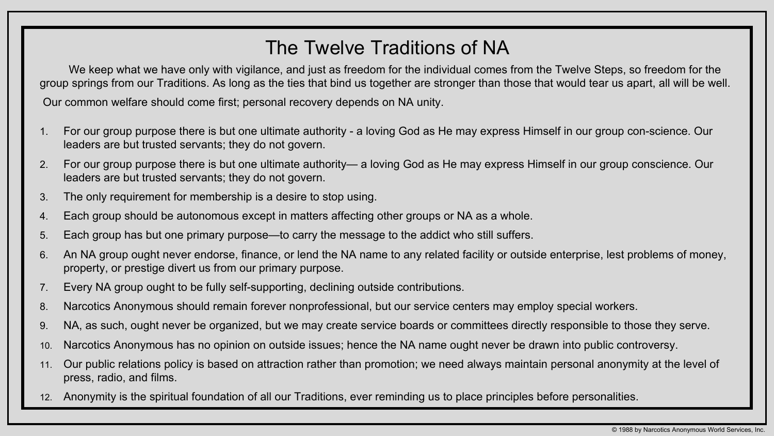## The Twelve Traditions of NA

We keep what we have only with vigilance, and just as freedom for the individual comes from the Twelve Steps, so freedom for the group springs from our Traditions. As long as the ties that bind us together are stronger than those that would tear us apart, all will be well. Our common welfare should come first; personal recovery depends on NA unity.

1. For our group purpose there is but one ultimate authority - a loving God as He may express Himself in our group con-science. Our

2. For our group purpose there is but one ultimate authority— a loving God as He may express Himself in our group conscience. Our

- leaders are but trusted servants; they do not govern.
- leaders are but trusted servants; they do not govern.
- 3. The only requirement for membership is a desire to stop using.
- 4. Each group should be autonomous except in matters affecting other groups or NA as a whole.
- 5. Each group has but one primary purpose—to carry the message to the addict who still suffers.
- 6. An NA group ought never endorse, finance, or lend the NA name to any related facility or outside enterprise, lest problems of money, property, or prestige divert us from our primary purpose.
- 7. Every NA group ought to be fully self-supporting, declining outside contributions.
- 8. Narcotics Anonymous should remain forever nonprofessional, but our service centers may employ special workers.
- 9. NA, as such, ought never be organized, but we may create service boards or committees directly responsible to those they serve.
- 10. Narcotics Anonymous has no opinion on outside issues; hence the NA name ought never be drawn into public controversy.
- 11. Our public relations policy is based on attraction rather than promotion; we need always maintain personal anonymity at the level of press, radio, and films.
- 12. Anonymity is the spiritual foundation of all our Traditions, ever reminding us to place principles before personalities.

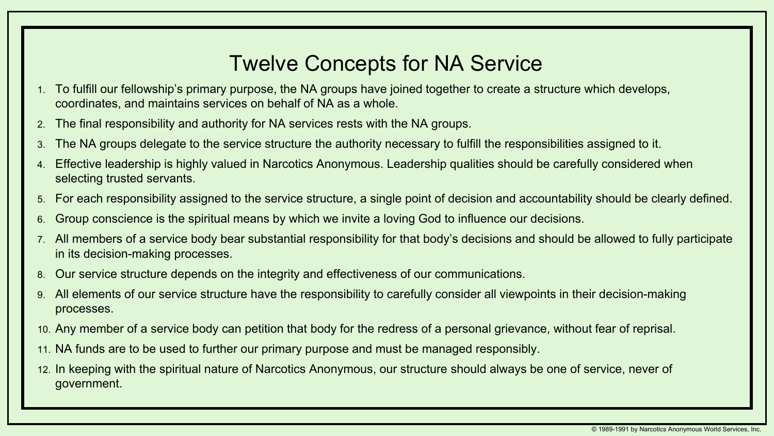## Twelve Concepts for NA Service

4. Effective leadership is highly valued in Narcotics Anonymous. Leadership qualities should be carefully considered when

5. For each responsibility assigned to the service structure, a single point of decision and accountability should be clearly defined.

- 1. To fulfill our fellowship's primary purpose, the NA groups have joined together to create a structure which develops, coordinates, and maintains services on behalf of NA as a whole.
- 2. The final responsibility and authority for NA services rests with the NA groups.
- 3. The NA groups delegate to the service structure the authority necessary to fulfill the responsibilities assigned to it.
- selecting trusted servants.
- 
- 6. Group conscience is the spiritual means by which we invite a loving God to influence our decisions.
- in its decision-making processes.
- 8. Our service structure depends on the integrity and effectiveness of our communications.
- 9. All elements of our service structure have the responsibility to carefully consider all viewpoints in their decision-making processes.
- 10. Any member of a service body can petition that body for the redress of a personal grievance, without fear of reprisal.
- 11. NA funds are to be used to further our primary purpose and must be managed responsibly.
- 12. In keeping with the spiritual nature of Narcotics Anonymous, our structure should always be one of service, never of government.

7. All members of a service body bear substantial responsibility for that body's decisions and should be allowed to fully participate